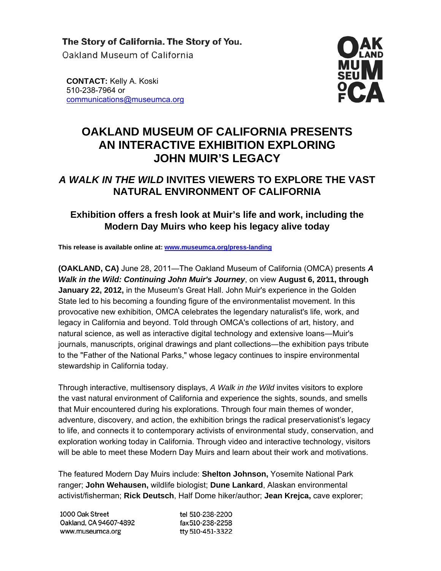The Story of California. The Story of You. Oakland Museum of California

**CONTACT:** Kelly A. Koski 510-238-7964 or communications@museumca.org



# **OAKLAND MUSEUM OF CALIFORNIA PRESENTS AN INTERACTIVE EXHIBITION EXPLORING JOHN MUIR'S LEGACY**

# *A WALK IN THE WILD* **INVITES VIEWERS TO EXPLORE THE VAST NATURAL ENVIRONMENT OF CALIFORNIA**

## **Exhibition offers a fresh look at Muir's life and work, including the Modern Day Muirs who keep his legacy alive today**

**This release is available online at: www.museumca.org/press-landing**

**(OAKLAND, CA)** June 28, 2011—The Oakland Museum of California (OMCA) presents *A Walk in the Wild: Continuing John Muir's Journey*, on view **August 6, 2011, through January 22, 2012,** in the Museum's Great Hall. John Muir's experience in the Golden State led to his becoming a founding figure of the environmentalist movement. In this provocative new exhibition, OMCA celebrates the legendary naturalist's life, work, and legacy in California and beyond. Told through OMCA's collections of art, history, and natural science, as well as interactive digital technology and extensive loans―Muir's journals, manuscripts, original drawings and plant collections—the exhibition pays tribute to the "Father of the National Parks," whose legacy continues to inspire environmental stewardship in California today.

Through interactive, multisensory displays, *A Walk in the Wild* invites visitors to explore the vast natural environment of California and experience the sights, sounds, and smells that Muir encountered during his explorations. Through four main themes of wonder, adventure, discovery, and action, the exhibition brings the radical preservationist's legacy to life, and connects it to contemporary activists of environmental study, conservation, and exploration working today in California. Through video and interactive technology, visitors will be able to meet these Modern Day Muirs and learn about their work and motivations.

The featured Modern Day Muirs include: **Shelton Johnson,** Yosemite National Park ranger; **John Wehausen,** wildlife biologist; **Dune Lankard**, Alaskan environmental activist/fisherman; **Rick Deutsch**, Half Dome hiker/author; **Jean Krejca,** cave explorer;

| 1000 Oak Street        | tel 510-238-2200 |
|------------------------|------------------|
| Oakland, CA 94607-4892 | fax 510-238-2258 |
| www.museumca.org       | tty 510-451-3322 |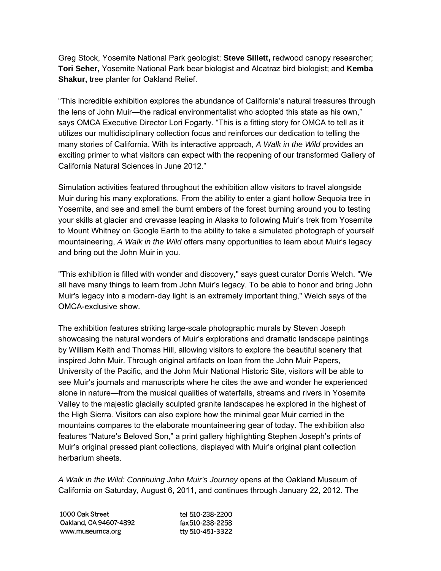Greg Stock, Yosemite National Park geologist; **Steve Sillett,** redwood canopy researcher; **Tori Seher,** Yosemite National Park bear biologist and Alcatraz bird biologist; and **Kemba Shakur,** tree planter for Oakland Relief.

"This incredible exhibition explores the abundance of California's natural treasures through the lens of John Muir—the radical environmentalist who adopted this state as his own," says OMCA Executive Director Lori Fogarty. "This is a fitting story for OMCA to tell as it utilizes our multidisciplinary collection focus and reinforces our dedication to telling the many stories of California. With its interactive approach, *A Walk in the Wild* provides an exciting primer to what visitors can expect with the reopening of our transformed Gallery of California Natural Sciences in June 2012."

Simulation activities featured throughout the exhibition allow visitors to travel alongside Muir during his many explorations. From the ability to enter a giant hollow Sequoia tree in Yosemite, and see and smell the burnt embers of the forest burning around you to testing your skills at glacier and crevasse leaping in Alaska to following Muir's trek from Yosemite to Mount Whitney on Google Earth to the ability to take a simulated photograph of yourself mountaineering, *A Walk in the Wild* offers many opportunities to learn about Muir's legacy and bring out the John Muir in you.

"This exhibition is filled with wonder and discovery," says guest curator Dorris Welch. "We all have many things to learn from John Muir's legacy. To be able to honor and bring John Muir's legacy into a modern-day light is an extremely important thing," Welch says of the OMCA-exclusive show.

The exhibition features striking large-scale photographic murals by Steven Joseph showcasing the natural wonders of Muir's explorations and dramatic landscape paintings by William Keith and Thomas Hill, allowing visitors to explore the beautiful scenery that inspired John Muir. Through original artifacts on loan from the John Muir Papers, University of the Pacific, and the John Muir National Historic Site, visitors will be able to see Muir's journals and manuscripts where he cites the awe and wonder he experienced alone in nature—from the musical qualities of waterfalls, streams and rivers in Yosemite Valley to the majestic glacially sculpted granite landscapes he explored in the highest of the High Sierra. Visitors can also explore how the minimal gear Muir carried in the mountains compares to the elaborate mountaineering gear of today. The exhibition also features "Nature's Beloved Son," a print gallery highlighting Stephen Joseph's prints of Muir's original pressed plant collections, displayed with Muir's original plant collection herbarium sheets.

*A Walk in the Wild: Continuing John Muir's Journey* opens at the Oakland Museum of California on Saturday, August 6, 2011, and continues through January 22, 2012. The

| 1000 Oak Street        | tel 510-238-2200 |
|------------------------|------------------|
| Oakland, CA 94607-4892 | fax 510-238-2258 |
| www.museumca.org       | tty 510-451-3322 |